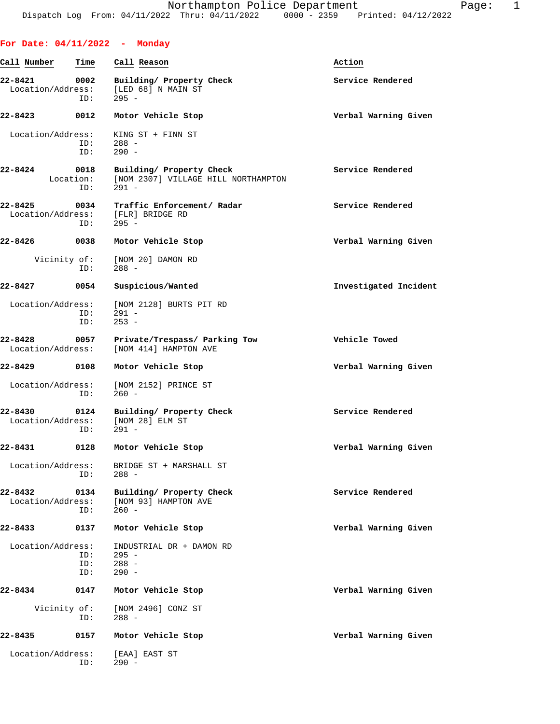| For Date: $04/11/2022 -$ Monday |                          |                                                                            |                       |
|---------------------------------|--------------------------|----------------------------------------------------------------------------|-----------------------|
| Call Number                     | Time                     | Call Reason                                                                | Action                |
| 22-8421<br>Location/Address:    | 0002<br>ID:              | Building/ Property Check<br>[LED 68] N MAIN ST<br>$295 -$                  | Service Rendered      |
| 22-8423                         | 0012                     | Motor Vehicle Stop                                                         | Verbal Warning Given  |
| Location/Address:               | ID:<br>ID:               | KING ST + FINN ST<br>$288 -$<br>$290 -$                                    |                       |
| $22 - 8424$                     | 0018<br>Location:<br>ID: | Building/ Property Check<br>[NOM 2307] VILLAGE HILL NORTHAMPTON<br>$291 -$ | Service Rendered      |
| 22-8425<br>Location/Address:    | 0034<br>ID:              | Traffic Enforcement/ Radar<br>[FLR] BRIDGE RD<br>$295 -$                   | Service Rendered      |
| 22-8426                         | 0038                     | Motor Vehicle Stop                                                         | Verbal Warning Given  |
| Vicinity of:                    | ID:                      | [NOM 20] DAMON RD<br>$288 -$                                               |                       |
| 22-8427                         | 0054                     | Suspicious/Wanted                                                          | Investigated Incident |
| Location/Address:               | ID:<br>ID:               | [NOM 2128] BURTS PIT RD<br>$291 -$<br>$253 -$                              |                       |
| 22-8428<br>Location/Address:    | 0057                     | Private/Trespass/ Parking Tow<br>[NOM 414] HAMPTON AVE                     | Vehicle Towed         |
| 22-8429                         | 0108                     | Motor Vehicle Stop                                                         | Verbal Warning Given  |
| Location/Address:               | ID:                      | [NOM 2152] PRINCE ST<br>$260 -$                                            |                       |
| 22-8430<br>Location/Address:    | 0124<br>ID:              | Building/ Property Check<br>[NOM 28] ELM ST<br>$291 -$                     | Service Rendered      |
| 22-8431                         | 0128                     | Motor Vehicle Stop                                                         | Verbal Warning Given  |
| Location/Address:               | ID:                      | BRIDGE ST + MARSHALL ST<br>$288 -$                                         |                       |
| 22-8432<br>Location/Address:    | 0134<br>ID:              | Building/ Property Check<br>[NOM 93] HAMPTON AVE<br>$260 -$                | Service Rendered      |
| $22 - 8433$                     | 0137                     | Motor Vehicle Stop                                                         | Verbal Warning Given  |
| Location/Address:               | ID:<br>ID:<br>ID:        | INDUSTRIAL DR + DAMON RD<br>$295 -$<br>$288 -$<br>$290 -$                  |                       |
| 22-8434                         | 0147                     | Motor Vehicle Stop                                                         | Verbal Warning Given  |
| Vicinity of:                    | ID:                      | [NOM 2496] CONZ ST<br>$288 -$                                              |                       |
| 22-8435                         | 0157                     | Motor Vehicle Stop                                                         | Verbal Warning Given  |
| Location/Address:               | ID:                      | [EAA] EAST ST<br>$290 -$                                                   |                       |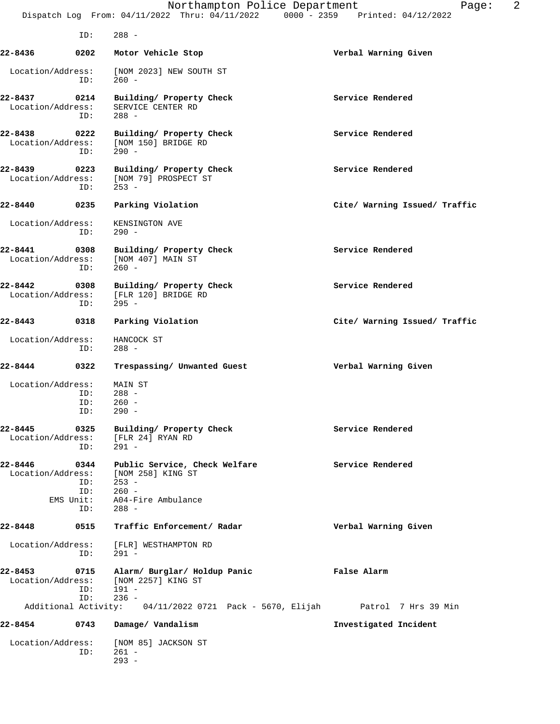|                                   |                                 | Northampton Police Department<br>Dispatch Log From: 04/11/2022 Thru: 04/11/2022 0000 - 2359 Printed: 04/12/2022 | 2<br>Page:                    |
|-----------------------------------|---------------------------------|-----------------------------------------------------------------------------------------------------------------|-------------------------------|
|                                   | ID:                             | $288 -$                                                                                                         |                               |
| 22-8436                           | 0202                            | Motor Vehicle Stop                                                                                              | Verbal Warning Given          |
| Location/Address:                 | ID:                             | [NOM 2023] NEW SOUTH ST<br>$260 -$                                                                              |                               |
| 22-8437<br>Location/Address:      | 0214<br>ID:                     | Building/ Property Check<br>SERVICE CENTER RD<br>$288 -$                                                        | Service Rendered              |
| 22-8438 0222<br>Location/Address: | ID:                             | Building/ Property Check<br>[NOM 150] BRIDGE RD<br>$290 -$                                                      | Service Rendered              |
| 22-8439<br>Location/Address:      | 0223<br>ID:                     | Building/ Property Check<br>[NOM 79] PROSPECT ST<br>$253 -$                                                     | Service Rendered              |
| 22-8440                           | 0235                            | Parking Violation                                                                                               | Cite/ Warning Issued/ Traffic |
| Location/Address:                 | ID:                             | KENSINGTON AVE<br>$290 -$                                                                                       |                               |
| 22-8441<br>Location/Address:      | 0308<br>ID:                     | Building/ Property Check<br>[NOM 407] MAIN ST<br>$260 -$                                                        | Service Rendered              |
| 22-8442<br>Location/Address:      | 0308<br>ID:                     | Building/ Property Check<br>[FLR 120] BRIDGE RD<br>$295 -$                                                      | Service Rendered              |
| 22-8443                           | 0318                            | Parking Violation                                                                                               | Cite/ Warning Issued/ Traffic |
| Location/Address:                 |                                 | HANCOCK ST                                                                                                      |                               |
|                                   | ID:                             | $288 -$                                                                                                         |                               |
| 22-8444                           | 0322                            | Trespassing/ Unwanted Guest                                                                                     | Verbal Warning Given          |
| Location/Address:                 |                                 | MAIN ST                                                                                                         |                               |
|                                   | ID:<br>ID:                      | $288 -$<br>$260 -$                                                                                              |                               |
|                                   | ID:                             | $290 -$                                                                                                         |                               |
| 22-8445<br>Location/Address:      | 0325<br>ID:                     | Building/ Property Check<br>[FLR 24] RYAN RD<br>$291 -$                                                         | Service Rendered              |
| 22-8446<br>Location/Address:      | 0344<br>ID:<br>ID:<br>EMS Unit: | Public Service, Check Welfare<br>[NOM 258] KING ST<br>$253 -$<br>$260 -$<br>A04-Fire Ambulance                  | Service Rendered              |
| 22-8448                           | ID:<br>0515                     | $288 -$<br>Traffic Enforcement/ Radar                                                                           | Verbal Warning Given          |
| Location/Address:                 |                                 | [FLR] WESTHAMPTON RD                                                                                            |                               |
|                                   | ID:                             | 291 -                                                                                                           |                               |
| 22-8453<br>Location/Address:      | 0715<br>ID:<br>ID:              | Alarm/ Burglar/ Holdup Panic<br>[NOM 2257] KING ST<br>$191 -$<br>$236 -$                                        | False Alarm                   |
|                                   |                                 | Additional Activity: 04/11/2022 0721 Pack - 5670, Elijah Patrol 7 Hrs 39 Min                                    |                               |
| 22-8454                           | 0743                            | Damage/ Vandalism                                                                                               | Investigated Incident         |
| Location/Address:                 | ID:                             | [NOM 85] JACKSON ST<br>$261 -$<br>$293 -$                                                                       |                               |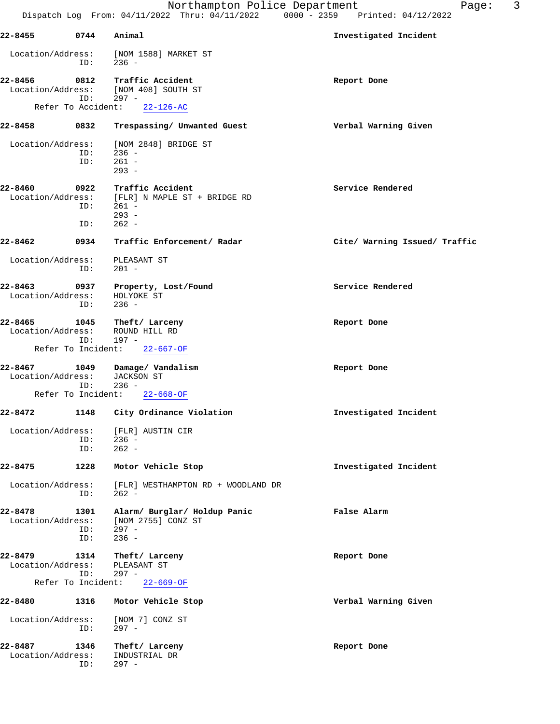| 22-8455                      |                    | 0744 Animal                                                                                                      | Investigated Incident         |
|------------------------------|--------------------|------------------------------------------------------------------------------------------------------------------|-------------------------------|
| Location/Address:            | ID:                | [NOM 1588] MARKET ST<br>$236 -$                                                                                  |                               |
|                              | ID:                | 22-8456 0812 Traffic Accident<br>Location/Address: [NOM 408] SOUTH ST<br>$297 -$<br>Refer To Accident: 22-126-AC | Report Done                   |
| 22-8458                      |                    | 0832 Trespassing/ Unwanted Guest                                                                                 | Verbal Warning Given          |
|                              |                    | Location/Address: [NOM 2848] BRIDGE ST                                                                           |                               |
|                              | ID:                | $236 -$<br>$ID: 261 -$<br>$293 -$                                                                                |                               |
| 22-8460                      | 0922<br>ID:        | Traffic Accident<br>Location/Address: [FLR] N MAPLE ST + BRIDGE RD<br>$ID: 261 -$<br>$293 -$<br>262 -            | Service Rendered              |
| 22-8462                      | 0934               | Traffic Enforcement/ Radar                                                                                       | Cite/ Warning Issued/ Traffic |
|                              | ID:                | Location/Address: PLEASANT ST<br>$201 -$                                                                         |                               |
| 22-8463<br>Location/Address: | ID:                | 0937 Property, Lost/Found<br>HOLYOKE ST<br>$236 -$                                                               | Service Rendered              |
| 22-8465                      | ID:                | 1045 Theft/Larceny<br>Location/Address: ROUND HILL RD<br>197 -                                                   | Report Done                   |
|                              |                    | Refer To Incident: 22-667-OF                                                                                     |                               |
| Location/Address:            | ID:                | 22-8467 1049 Damage/Vandalism<br>JACKSON ST<br>236 -                                                             | Report Done                   |
|                              |                    | Refer To Incident: 22-668-OF                                                                                     |                               |
| 22-8472                      |                    | 1148 City Ordinance Violation                                                                                    | Investigated Incident         |
|                              | ID:<br>ID:         | Location/Address: [FLR] AUSTIN CIR<br>$236 -$<br>$262 -$                                                         |                               |
| 22-8475                      | 1228               | Motor Vehicle Stop                                                                                               | Investigated Incident         |
| Location/Address:            | ID:                | [FLR] WESTHAMPTON RD + WOODLAND DR<br>$262 -$                                                                    |                               |
| 22-8478<br>Location/Address: | 1301<br>ID:<br>ID: | Alarm/ Burglar/ Holdup Panic<br>[NOM 2755] CONZ ST<br>$297 -$<br>$236 -$                                         | False Alarm                   |
| 22-8479<br>Location/Address: | 1314<br>ID:        | Theft/ Larceny<br>PLEASANT ST<br>$297 -$                                                                         | Report Done                   |
|                              | Refer To Incident: | $22 - 669 - OF$                                                                                                  |                               |
| 22-8480                      | 1316               | Motor Vehicle Stop                                                                                               | Verbal Warning Given          |
| Location/Address:            | ID:                | [NOM 7] CONZ ST<br>$297 -$                                                                                       |                               |
| 22-8487                      | 1346               | Theft/ Larceny                                                                                                   | Report Done                   |

Location/Address: INDUSTRIAL DR

ID: 297 -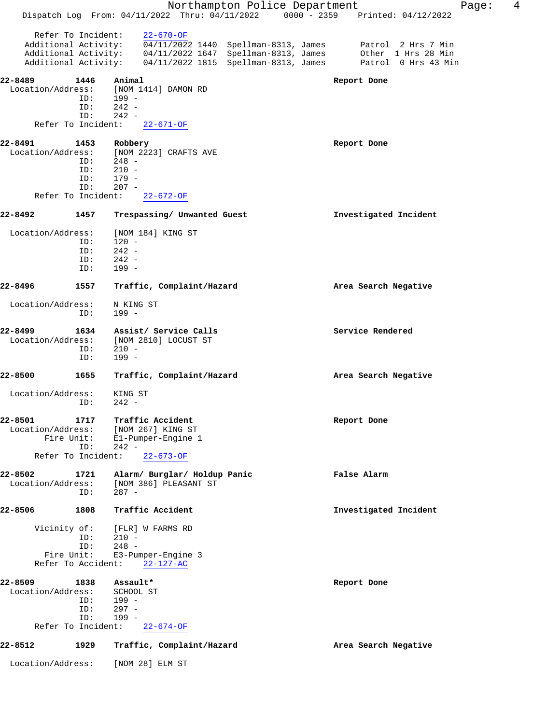|                              |            | Northampton Police Department<br>Dispatch Log From: 04/11/2022 Thru: 04/11/2022<br>$0000 - 2359$ | 4<br>Page:<br>Printed: 04/12/2022 |
|------------------------------|------------|--------------------------------------------------------------------------------------------------|-----------------------------------|
| Refer To Incident:           |            | $22 - 670 - OF$                                                                                  |                                   |
| Additional Activity:         |            | 04/11/2022 1440 Spellman-8313, James                                                             | Patrol 2 Hrs 7 Min                |
| Additional Activity:         |            | 04/11/2022 1647 Spellman-8313, James                                                             | Other 1 Hrs 28 Min                |
| Additional Activity:         |            | 04/11/2022 1815 Spellman-8313, James                                                             | Patrol 0 Hrs 43 Min               |
| 22-8489                      | 1446       | Animal                                                                                           | Report Done                       |
| Location/Address:            |            | [NOM 1414] DAMON RD                                                                              |                                   |
|                              | ID:        | 199 -                                                                                            |                                   |
|                              | ID:<br>ID: | $242 -$<br>$242 -$                                                                               |                                   |
| Refer To Incident:           |            | $22 - 671 - OF$                                                                                  |                                   |
|                              |            |                                                                                                  |                                   |
| 22-8491<br>Location/Address: | 1453       | Robbery<br>[NOM 2223] CRAFTS AVE                                                                 | Report Done                       |
|                              | ID:        | $248 -$                                                                                          |                                   |
|                              | ID:        | $210 -$                                                                                          |                                   |
|                              | ID:        | $179 -$                                                                                          |                                   |
| Refer To Incident:           | ID:        | $207 -$<br>$22 - 672 - OF$                                                                       |                                   |
|                              |            |                                                                                                  |                                   |
| 22-8492                      | 1457       | Trespassing/ Unwanted Guest                                                                      | Investigated Incident             |
| Location/Address:            |            | [NOM 184] KING ST                                                                                |                                   |
|                              | ID:        | $120 -$                                                                                          |                                   |
|                              | ID:        | $242 -$                                                                                          |                                   |
|                              | ID:<br>ID: | $242 -$<br>$199 -$                                                                               |                                   |
|                              |            |                                                                                                  |                                   |
| 22-8496                      | 1557       | Traffic, Complaint/Hazard                                                                        | Area Search Negative              |
| Location/Address:            |            | N KING ST                                                                                        |                                   |
|                              | ID:        | 199 -                                                                                            |                                   |
| 22-8499                      | 1634       | Assist/ Service Calls                                                                            | Service Rendered                  |
| Location/Address:            |            | [NOM 2810] LOCUST ST                                                                             |                                   |
|                              | ID:        | $210 -$                                                                                          |                                   |
|                              | ID:        | 199 -                                                                                            |                                   |
| 22-8500                      | 1655       | Traffic, Complaint/Hazard                                                                        | Area Search Negative              |
| Location/Address:            |            | KING ST                                                                                          |                                   |
|                              | ID:        | $242 -$                                                                                          |                                   |
|                              |            |                                                                                                  |                                   |
| 22-8501<br>Location/Address: | 1717       | Traffic Accident<br>[NOM 267] KING ST                                                            | Report Done                       |
| Fire Unit:                   |            | El-Pumper-Engine 1                                                                               |                                   |
|                              | ID:        | $242 -$                                                                                          |                                   |
| Refer To Incident:           |            | $22 - 673 - OF$                                                                                  |                                   |
| 22-8502                      | 1721       | Alarm/ Burglar/ Holdup Panic                                                                     | False Alarm                       |
| Location/Address:            |            | [NOM 386] PLEASANT ST                                                                            |                                   |
|                              | ID:        | $287 -$                                                                                          |                                   |
| 22-8506                      | 1808       | Traffic Accident                                                                                 | Investigated Incident             |
| Vicinity of:                 |            | [FLR] W FARMS RD                                                                                 |                                   |
|                              | ID:        | $210 -$                                                                                          |                                   |
|                              | ID:        | $248 -$                                                                                          |                                   |
| Fire Unit:                   |            | E3-Pumper-Engine 3                                                                               |                                   |
| Refer To Accident:           |            | $22 - 127 - AC$                                                                                  |                                   |
| 22-8509                      | 1838       | Assault*                                                                                         | Report Done                       |
| Location/Address:            |            | SCHOOL ST                                                                                        |                                   |
|                              | ID:<br>ID: | $199 -$<br>$297 -$                                                                               |                                   |
|                              | ID:        | $199 -$                                                                                          |                                   |
| Refer To Incident:           |            | $22 - 674 - OF$                                                                                  |                                   |
| 22-8512                      | 1929       | Traffic, Complaint/Hazard                                                                        | Area Search Negative              |
| Location/Address:            |            | [NOM 28] ELM ST                                                                                  |                                   |
|                              |            |                                                                                                  |                                   |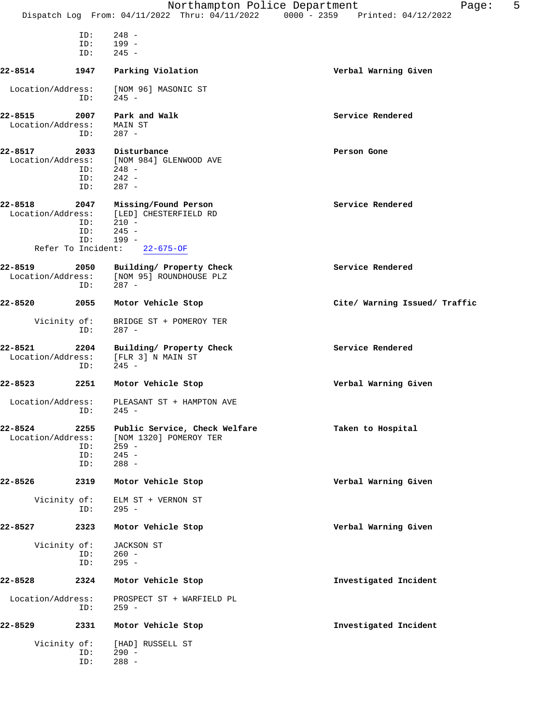|                   |      | Northampton Police Department<br>Dispatch Log From: 04/11/2022 Thru: 04/11/2022 0000 - 2359 Printed: 04/12/2022 | 5<br>Page:                    |
|-------------------|------|-----------------------------------------------------------------------------------------------------------------|-------------------------------|
|                   |      |                                                                                                                 |                               |
|                   | ID:  | $248 -$                                                                                                         |                               |
|                   | ID:  | 199 -                                                                                                           |                               |
|                   | ID:  | $245 -$                                                                                                         |                               |
| 22-8514           | 1947 | Parking Violation                                                                                               | Verbal Warning Given          |
| Location/Address: | ID:  | [NOM 96] MASONIC ST<br>245 -                                                                                    |                               |
|                   |      |                                                                                                                 |                               |
| 22-8515           | 2007 | Park and Walk                                                                                                   | Service Rendered              |
| Location/Address: |      | MAIN ST                                                                                                         |                               |
|                   | ID:  | $287 -$                                                                                                         |                               |
| 22-8517           | 2033 | Disturbance                                                                                                     | Person Gone                   |
| Location/Address: |      | [NOM 984] GLENWOOD AVE                                                                                          |                               |
|                   | ID:  | 248 -                                                                                                           |                               |
|                   | ID:  | $242 -$                                                                                                         |                               |
|                   | ID:  | $287 -$                                                                                                         |                               |
| 22-8518           | 2047 | Missing/Found Person                                                                                            | Service Rendered              |
| Location/Address: |      | [LED] CHESTERFIELD RD                                                                                           |                               |
|                   | ID:  | $210 -$                                                                                                         |                               |
|                   | ID:  | $245 -$                                                                                                         |                               |
|                   | ID:  | $199 -$                                                                                                         |                               |
|                   |      | Refer To Incident: 22-675-OF                                                                                    |                               |
| 22-8519           | 2050 | Building/ Property Check                                                                                        | Service Rendered              |
|                   |      | Location/Address: [NOM 95] ROUNDHOUSE PLZ                                                                       |                               |
|                   | ID:  | $287 -$                                                                                                         |                               |
|                   |      |                                                                                                                 |                               |
| 22-8520           | 2055 | Motor Vehicle Stop                                                                                              | Cite/ Warning Issued/ Traffic |
| Vicinity of:      |      | BRIDGE ST + POMEROY TER                                                                                         |                               |
|                   | ID:  | $287 -$                                                                                                         |                               |
|                   |      |                                                                                                                 |                               |
| 22-8521           | 2204 | Building/ Property Check                                                                                        | Service Rendered              |
| Location/Address: |      | [FLR 3] N MAIN ST                                                                                               |                               |
|                   | ID:  | $245 -$                                                                                                         |                               |
| 22-8523           | 2251 | Motor Vehicle Stop                                                                                              | Verbal Warning Given          |
| Location/Address: |      | PLEASANT ST + HAMPTON AVE                                                                                       |                               |
|                   |      | $ID: 245 -$                                                                                                     |                               |
| 22-8524           | 2255 |                                                                                                                 | Taken to Hospital             |
|                   |      | Public Service, Check Welfare                                                                                   |                               |
| Location/Address: | ID:  | [NOM 1320] POMEROY TER<br>$259 -$                                                                               |                               |
|                   | ID:  | $245 -$                                                                                                         |                               |
|                   | ID:  | $288 -$                                                                                                         |                               |
|                   |      |                                                                                                                 |                               |
| 22-8526           | 2319 | Motor Vehicle Stop                                                                                              | Verbal Warning Given          |
| Vicinity of:      |      | ELM ST + VERNON ST                                                                                              |                               |
|                   | ID:  | 295 -                                                                                                           |                               |
|                   |      |                                                                                                                 |                               |
| 22-8527           | 2323 | Motor Vehicle Stop                                                                                              | Verbal Warning Given          |
| Vicinity of:      |      | JACKSON ST                                                                                                      |                               |
|                   | ID:  | $260 -$                                                                                                         |                               |
|                   | ID:  | $295 -$                                                                                                         |                               |
|                   |      |                                                                                                                 |                               |
| 22-8528           | 2324 | Motor Vehicle Stop                                                                                              | Investigated Incident         |
| Location/Address: |      | PROSPECT ST + WARFIELD PL                                                                                       |                               |
|                   | ID:  | 259 -                                                                                                           |                               |
| 22-8529           | 2331 | Motor Vehicle Stop                                                                                              | Investigated Incident         |
|                   |      |                                                                                                                 |                               |
| Vicinity of:      |      | [HAD] RUSSELL ST                                                                                                |                               |
|                   | ID:  | $290 -$                                                                                                         |                               |
|                   | ID:  | $288 -$                                                                                                         |                               |